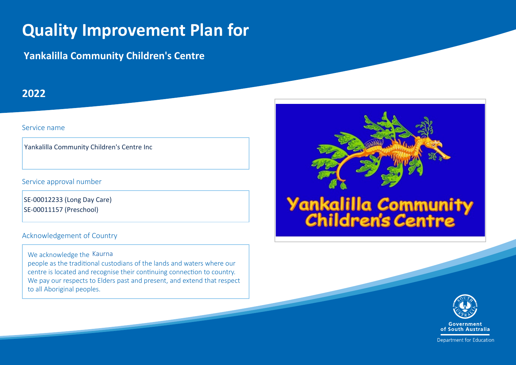# **Quality Improvement Plan for**

**Yankalilla Community Children's Centre** 

### **2022**

#### Service name

Yankalilla Community Children's Centre Inc $\frac{1}{2}$ Service approval number<br>SE-00012233 (Long Day Care)

#### Service approval number

SE-00011157 (Preschool)

#### Acknowledgement of Country

We acknowledge the Kaurna

people as the traditional custodians of the lands and waters where our centre is located and recognise their continuing connection to country. We pay our respects to Elders past and present, and extend that respect to all Aboriginal peoples.





Department for Education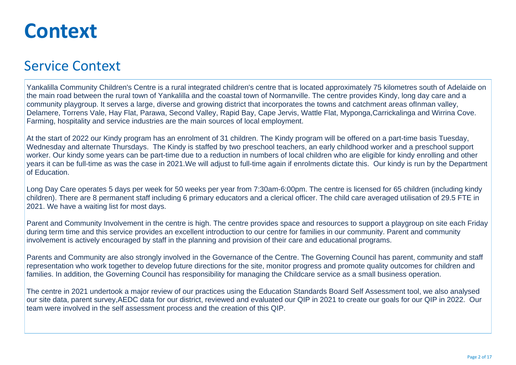# **Context**

## Service Context

Yankalilla Community Children's Centre is a rural integrated children's centre that is located approximately 75 kilometres south of Adelaide on the main road between the rural town of Yankalilla and the coastal town of Normanville. The centre provides Kindy, long day care and a community playgroup. It serves a large, diverse and growing district that incorporates the towns and catchment areas ofInman valley, Delamere, Torrens Vale, Hay Flat, Parawa, Second Valley, Rapid Bay, Cape Jervis, Wattle Flat, Myponga,Carrickalinga and Wirrina Cove. Farming, hospitality and service industries are the main sources of local employment.

At the start of 2022 our Kindy program has an enrolment of 31 children. The Kindy program will be offered on a part-time basis Tuesday, Wednesday and alternate Thursdays. The Kindy is staffed by two preschool teachers, an early childhood worker and a preschool support worker. Our kindy some years can be part-time due to a reduction in numbers of local children who are eligible for kindy enrolling and other years it can be full-time as was the case in 2021.We will adjust to full-time again if enrolments dictate this. Our kindy is run by the Department of Education.

Long Day Care operates 5 days per week for 50 weeks per year from 7:30am-6:00pm. The centre is licensed for 65 children (including kindy children). There are 8 permanent staff including 6 primary educators and a clerical officer. The child care averaged utilisation of 29.5 FTE in 2021. We have a waiting list for most days.

Parent and Community Involvement in the centre is high. The centre provides space and resources to support a playgroup on site each Friday during term time and this service provides an excellent introduction to our centre for families in our community. Parent and community involvement is actively encouraged by staff in the planning and provision of their care and educational programs.

Parents and Community are also strongly involved in the Governance of the Centre. The Governing Council has parent, community and staff representation who work together to develop future directions for the site, monitor progress and promote quality outcomes for children and families. In addition, the Governing Council has responsibility for managing the Childcare service as a small business operation.

The centre in 2021 undertook a major review of our practices using the Education Standards Board Self Assessment tool, we also analysed our site data, parent survey,AEDC data for our district, reviewed and evaluated our QIP in 2021 to create our goals for our QIP in 2022. Our team were involved in the self assessment process and the creation of this QIP.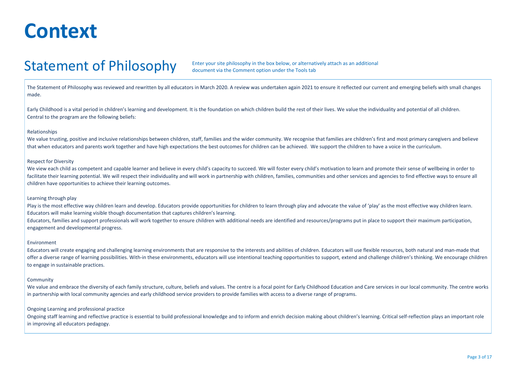# **Context**

## Statement of Philosophy

Enter your site philosophy in the box below, or alternatively attach as an additional document via the Comment option under the Tools tab

The Statement of Philosophy was reviewed and rewritten by all educators in March 2020. A review was undertaken again 2021 to ensure it reflected our current and emerging beliefs with small changes made.

Early Childhood is a vital period in children's learning and development. It is the foundation on which children build the rest of their lives. We value the individuality and potential of all children. Central to the program are the following beliefs:

#### Relationships

We value trusting, positive and inclusive relationships between children, staff, families and the wider community. We recognise that families are children's first and most primary caregivers and believe that when educators and parents work together and have high expectations the best outcomes for children can be achieved. We support the children to have a voice in the curriculum.

#### Respect for Diversity

We view each child as competent and capable learner and believe in every child's capacity to succeed. We will foster every child's motivation to learn and promote their sense of wellbeing in order to facilitate their learning potential. We will respect their individuality and will work in partnership with children, families, communities and other services and agencies to find effective ways to ensure all children have opportunities to achieve their learning outcomes.

#### Learning through play

Play is the most effective way children learn and develop. Educators provide opportunities for children to learn through play and advocate the value of 'play' as the most effective way children learn. Educators will make learning visible though documentation that captures children's learning.

Educators, families and support professionals will work together to ensure children with additional needs are identified and resources/programs put in place to support their maximum participation, engagement and developmental progress.

#### Environment

Educators will create engaging and challenging learning environments that are responsive to the interests and abilities of children. Educators will use flexible resources, both natural and man-made that offer a diverse range of learning possibilities. With-in these environments, educators will use intentional teaching opportunities to support, extend and challenge children's thinking. We encourage children to engage in sustainable practices.

#### **Community**

We value and embrace the diversity of each family structure, culture, beliefs and values. The centre is a focal point for Early Childhood Education and Care services in our local community. The centre works in partnership with local community agencies and early childhood service providers to provide families with access to a diverse range of programs.

#### Ongoing Learning and professional practice

Ongoing staff learning and reflective practice is essential to build professional knowledge and to inform and enrich decision making about children's learning. Critical self-reflection plays an important role in improving all educators pedagogy.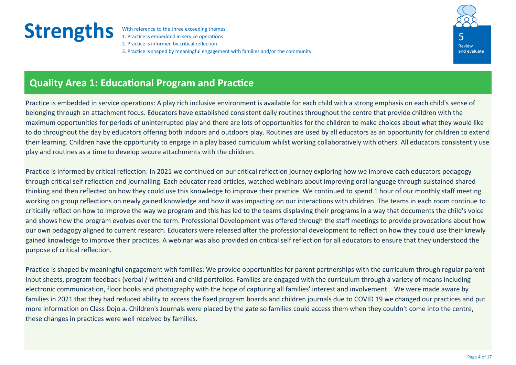1. Practice is embedded in service operations 2. Practice is informed by critical reflection 3. Practice is shaped by meaningful engagement with families and/or the community



## **Quality Area 1: Educational Program and Practice**

Practice is embedded in service operations: A play rich inclusive environment is available for each child with a strong emphasis on each child's sense of belonging through an attachment focus. Educators have established consistent daily routines throughout the centre that provide children with the maximum opportunities for periods of uninterrupted play and there are lots of opportunities for the children to make choices about what they would like to do throughout the day by educators offering both indoors and outdoors play. Routines are used by all educators as an opportunity for children to extend their learning. Children have the opportunity to engage in a play based curriculum whilst working collaboratively with others. All educators consistently use play and routines as a time to develop secure attachments with the children.

Practice is informed by critical reflection: In 2021 we continued on our critical reflection journey exploring how we improve each educators pedagogy through critical self reflection and journalling. Each educator read articles, watched webinars about improving oral language through suistained shared thinking and then reflected on how they could use this knowledge to improve their practice. We continued to spend 1 hour of our monthly staff meeting working on group reflections on newly gained knowledge and how it was impacting on our interactions with children. The teams in each room continue to critically reflect on how to improve the way we program and this has led to the teams displaying their programs in a way that documents the child's voice and shows how the program evolves over the term. Professional Development was offered through the staff meetings to provide provocations about how our own pedagogy aligned to current research. Educators were released after the professional development to reflect on how they could use their knewly gained knowledge to improve their practices. A webinar was also provided on critical self reflection for all educators to ensure that they understood the purpose of critical reflection.

Practice is shaped by meaningful engagement with families: We provide opportunities for parent partnerships with the curriculum through regular parent input sheets, program feedback (verbal / written) and child portfolios. Families are engaged with the curriculum through a variety of means including electronic communication, floor books and photography with the hope of capturing all families' interest and involvement. We were made aware by families in 2021 that they had reduced ability to access the fixed program boards and children journals due to COVID 19 we changed our practices and put more information on Class Dojo a. Children's Journals were placed by the gate so families could access them when they couldn't come into the centre, these changes in practices were well received by families.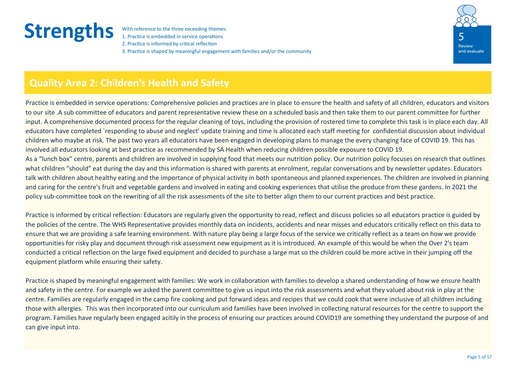1. Practice is embedded in service operations 2. Practice is informed by critical reflection 3. Practice is shaped by meaningful engagement with families and/or the community



### **Quality Area 2: Children's Health and Safety**

Practice is embedded in service operations: Comprehensive policies and practices are in place to ensure the health and safety of all children, educators and visitors to our site .A sub committee of educators and parent representative review these on a scheduled basis and then take them to our parent committee for further input. A comprehensive documented process for the regular cleaning of toys, including the provision of rostered time to complete this task is in place each day. All educators have completed `responding to abuse and neglect' update training and time is allocated each staff meeting for confidential discussion about individual children who maybe at risk. The past two years all educators have been engaged in developing plans to manage the every changing face of COVID 19. This has involved all educators looking at best practice as recommended by SA Health when reducing children possible exposure to COVID 19. As a "lunch box" centre, parents and children are involved in supplying food that meets our nutrition policy. Our nutrition policy focuses on research that outlines what children "should" eat during the day and this information is shared with parents at enrolment, regular conversations and by newsletter updates. Educators talk with children about healthy eating and the importance of physical activity in both spontaneous and planned experiences. The children are involved in planning and caring for the centre's fruit and vegetable gardens and involved in eating and cooking experiences that utilise the produce from these gardens. In 2021 the policy sub-committee took on the rewriting of all the risk assessments of the site to better align them to our current practices and best practice.

Practice is informed by critical reflection: Educators are regularly given the opportunity to read, reflect and discuss policies so all educators practice is guided by the policies of the centre. The WHS Representative provides monthly data on incidents, accidents and near misses and educators critically reflect on this data to ensure that we are providing a safe learning environment. With nature play being a large focus of the service we critically reflect as a team on how we provide opportunities for risky play and document through risk assessment new equipment as it is introduced. An example of this would be when the Over 2's team conducted a critical reflection on the large fixed equipment and decided to purchase a large mat so the children could be more active in their jumping off the equipment platform while ensuring their safety.

Practice is shaped by meaningful engagement with families: We work in collaboration with families to develop a shared understanding of how we ensure health and safety in the centre. For example we asked the parent committee to give us input into the risk assessments and what they valued about risk in play at the centre. Families are regularly engaged in the camp fire cooking and put forward ideas and recipes that we could cook that were inclusive of all children including those with allergies. This was then incorporated into our curriculum and families have been involved in collecting natural resources for the centre to support the program. Families have regularly been engaged acitily in the process of ensuring our practices around COVID19 are something they understand the purpose of and can give input into.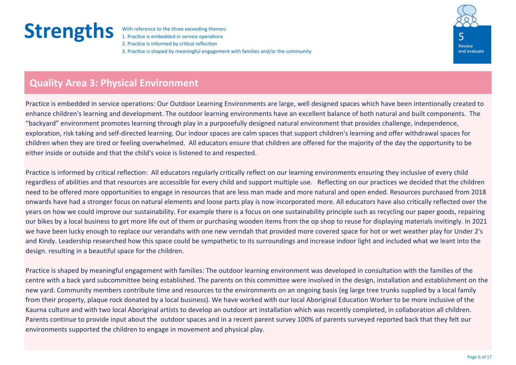1. Practice is embedded in service operations 2. Practice is informed by critical reflection 3. Practice is shaped by meaningful engagement with families and/or the community



### **Quality Area 3: Physical Environment**

Practice is embedded in service operations: Our Outdoor Learning Environments are large, well designed spaces which have been intentionally created to enhance children's learning and development. The outdoor learning environments have an excellent balance of both natural and built components. The "backyard" environment promotes learning through play in a purposefully designed natural environment that provides challenge, independence, exploration, risk taking and self-directed learning. Our indoor spaces are calm spaces that support children's learning and offer withdrawal spaces for children when they are tired or feeling overwhelmed. All educators ensure that children are offered for the majority of the day the opportunity to be either inside or outside and that the child's voice is listened to and respected.

Practice is informed by critical reflection: All educators regularly critically reflect on our learning environments ensuring they inclusive of every child regardless of abilities and that resources are accessible for every child and support multiple use. Reflecting on our practices we decided that the children need to be offered more opportunities to engage in resources that are less man made and more natural and open ended. Resources purchased from 2018 onwards have had a stronger focus on natural elements and loose parts play is now incorporated more. All educators have also critically reflected over the years on how we could improve our sustainability. For example there is a focus on one sustainability principle such as recycling our paper goods, repairing our bikes by a local business to get more life out of them or purchasing wooden items from the op shop to reuse for displaying materials invitingly. In 2021 we have been lucky enough to replace our verandahs with one new verndah that provided more covered space for hot or wet weather play for Under 2's and Kindy. Leadership researched how this space could be sympathetic to its surroundings and increase indoor light and included what we leant into the design. resulting in a beautiful space for the children.

Practice is shaped by meaningful engagement with families: The outdoor learning environment was developed in consultation with the families of the centre with a back yard subcommittee being established. The parents on this committee were involved in the design, installation and establishment on the new yard. Community members contribute time and resources to the environments on an ongoing basis (eg large tree trunks supplied by a local family from their property, plaque rock donated by a local business). We have worked with our local Aboriginal Education Worker to be more inclusive of the Kaurna culture and with two local Aboriginal artists to develop an outdoor art installation which was recently completed, in collaboration all children. Parents continue to provide input about the outdoor spaces and in a recent parent survey 100% of parents surveyed reported back that they felt our environments supported the children to engage in movement and physical play.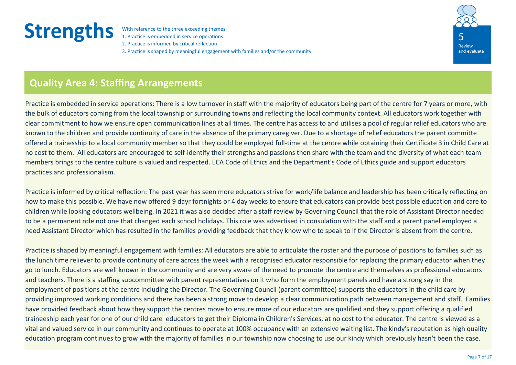1. Practice is embedded in service operations 2. Practice is informed by critical reflection 3. Practice is shaped by meaningful engagement with families and/or the community



### **Quality Area 4: Staffing Arrangements**

Practice is embedded in service operations: There is a low turnover in staff with the majority of educators being part of the centre for 7 years or more, with the bulk of educators coming from the local township or surrounding towns and reflecting the local community context. All educators work together with clear commitment to how we ensure open communication lines at all times. The centre has access to and utilises a pool of regular relief educators who are known to the children and provide continuity of care in the absence of the primary caregiver. Due to a shortage of relief educators the parent committe offered a trainesship to a local community member so that they could be employed full-time at the centre while obtaining their Certificate 3 in Child Care at no cost to them. All educators are encouraged to self-identify their strengths and passions then share with the team and the diversity of what each team members brings to the centre culture is valued and respected. ECA Code of Ethics and the Department's Code of Ethics guide and support educators practices and professionalism.

Practice is informed by critical reflection: The past year has seen more educators strive for work/life balance and leadership has been critically reflecting on how to make this possible. We have now offered 9 dayr fortnights or 4 day weeks to ensure that educators can provide best possible education and care to children while looking educators wellbeing. In 2021 it was also decided after a staff review by Governing Council that the role of Assistant Director needed to be a permanent role not one that changed each school holidays. This role was advertised in consulation with the staff and a parent panel employed a need Assistant Director which has resulted in the families providing feedback that they know who to speak to if the Director is absent from the centre.

Practice is shaped by meaningful engagement with families: All educators are able to articulate the roster and the purpose of positions to families such as the lunch time reliever to provide continuity of care across the week with a recognised educator responsible for replacing the primary educator when they go to lunch. Educators are well known in the community and are very aware of the need to promote the centre and themselves as professional educators and teachers. There is a staffing subcommittee with parent representatives on it who form the employment panels and have a strong say in the employment of positions at the centre including the Director. The Governing Council (parent committee) supports the educators in the child care by providing improved working conditions and there has been a strong move to develop a clear communication path between management and staff. Families have provided feedback about how they support the centres move to ensure more of our educators are qualified and they support offering a qualified traineeship each year for one of our child care educators to get their Diploma in Children's Services, at no cost to the educator. The centre is viewed as a vital and valued service in our community and continues to operate at 100% occupancy with an extensive waiting list. The kindy's reputation as high quality education program continues to grow with the majority of families in our township now choosing to use our kindy which previously hasn't been the case.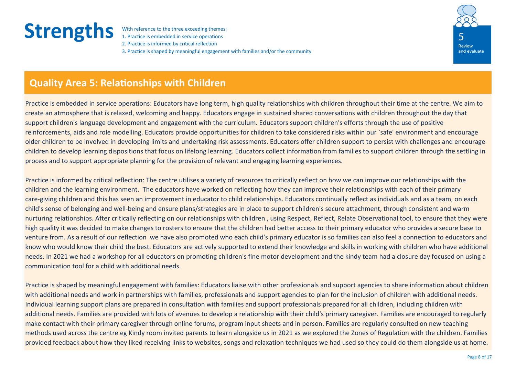1. Practice is embedded in service operations 2. Practice is informed by critical reflection 3. Practice is shaped by meaningful engagement with families and/or the community



### **Quality Area 5: Relationships with Children**

Practice is embedded in service operations: Educators have long term, high quality relationships with children throughout their time at the centre. We aim to create an atmosphere that is relaxed, welcoming and happy. Educators engage in sustained shared conversations with children throughout the day that support children's language development and engagement with the curriculum. Educators support children's efforts through the use of positive reinforcements, aids and role modelling. Educators provide opportunities for children to take considered risks within our `safe' environment and encourage older children to be involved in developing limits and undertaking risk assessments. Educators offer children support to persist with challenges and encourage children to develop learning dispositions that focus on lifelong learning. Educators collect information from families to support children through the settling in process and to support appropriate planning for the provision of relevant and engaging learning experiences.

Practice is informed by critical reflection: The centre utilises a variety of resources to critically reflect on how we can improve our relationships with the children and the learning environment. The educators have worked on reflecting how they can improve their relationships with each of their primary care-giving children and this has seen an improvement in educator to child relationships. Educators continually reflect as individuals and as a team, on each child's sense of belonging and well-being and ensure plans/strategies are in place to support children's secure attachment, through consistent and warm nurturing relationships. After critically reflecting on our relationships with children , using Respect, Reflect, Relate Observational tool, to ensure that they were high quality it was decided to make changes to rosters to ensure that the children had better access to their primary educator who provides a secure base to venture from. As a result of our reflection we have also promoted who each child's primary educator is so families can also feel a connection to educators and know who would know their child the best. Educators are actively supported to extend their knowledge and skills in working with children who have additional needs. In 2021 we had a workshop for all educators on promoting children's fine motor development and the kindy team had a closure day focused on using a communication tool for a child with additional needs.

Practice is shaped by meaningful engagement with families: Educators liaise with other professionals and support agencies to share information about children with additional needs and work in partnerships with families, professionals and support agencies to plan for the inclusion of children with additional needs. Individual learning support plans are prepared in consultation with families and support professionals prepared for all children, including children with additional needs. Families are provided with lots of avenues to develop a relationship with their child's primary caregiver. Families are encouraged to regularly make contact with their primary caregiver through online forums, program input sheets and in person. Families are regularly consulted on new teaching methods used across the centre eg Kindy room invited parents to learn alongside us in 2021 as we explored the Zones of Regulation with the children. Families provided feedback about how they liked receiving links to websites, songs and relaxation techniques we had used so they could do them alongside us at home.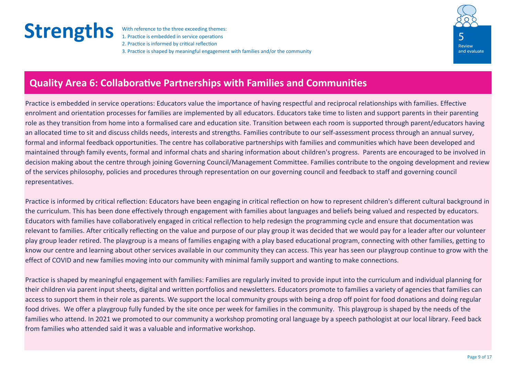1. Practice is embedded in service operations 2. Practice is informed by critical reflection 3. Practice is shaped by meaningful engagement with families and/or the community



### **Quality Area 6: Collaborative Partnerships with Families and Communities**

Practice is embedded in service operations: Educators value the importance of having respectful and reciprocal relationships with families. Effective enrolment and orientation processes for families are implemented by all educators. Educators take time to listen and support parents in their parenting role as they transition from home into a formalised care and education site. Transition between each room is supported through parent/educators having an allocated time to sit and discuss childs needs, interests and strengths. Families contribute to our self-assessment process through an annual survey, formal and informal feedback opportunities. The centre has collaborative partnerships with families and communities which have been developed and maintained through family events, formal and informal chats and sharing information about children's progress. Parents are encouraged to be involved in decision making about the centre through joining Governing Council/Management Committee. Families contribute to the ongoing development and review of the services philosophy, policies and procedures through representation on our governing council and feedback to staff and governing council representatives.

Practice is informed by critical reflection: Educators have been engaging in critical reflection on how to represent children's different cultural background in the curriculum. This has been done effectively through engagement with families about languages and beliefs being valued and respected by educators. Educators with families have collaboratively engaged in critical reflection to help redesign the programming cycle and ensure that documentation was relevant to families. After critically reflecting on the value and purpose of our play group it was decided that we would pay for a leader after our volunteer play group leader retired. The playgroup is a means of families engaging with a play based educational program, connecting with other families, getting to know our centre and learning about other services available in our community they can access. This year has seen our playgroup continue to grow with the effect of COVID and new families moving into our community with minimal family support and wanting to make connections.

Practice is shaped by meaningful engagement with families: Families are regularly invited to provide input into the curriculum and individual planning for their children via parent input sheets, digital and written portfolios and newsletters. Educators promote to families a variety of agencies that families can access to support them in their role as parents. We support the local community groups with being a drop off point for food donations and doing regular food drives. We offer a playgroup fully funded by the site once per week for families in the community. This playgroup is shaped by the needs of the families who attend. In 2021 we promoted to our community a workshop promoting oral language by a speech pathologist at our local library. Feed back from families who attended said it was a valuable and informative workshop.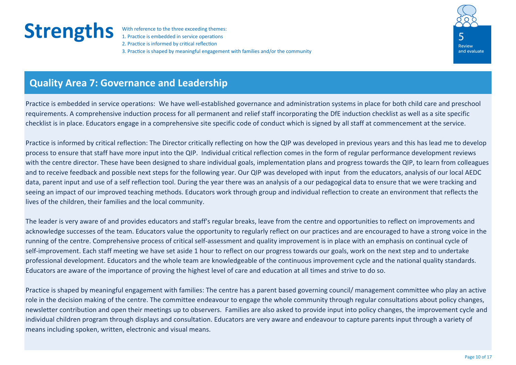1. Practice is embedded in service operations 2. Practice is informed by critical reflection 3. Practice is shaped by meaningful engagement with families and/or the community



### **Quality Area 7: Governance and Leadership**

Practice is embedded in service operations: We have well-established governance and administration systems in place for both child care and preschool requirements. A comprehensive induction process for all permanent and relief staff incorporating the DfE induction checklist as well as a site specific checklist is in place. Educators engage in a comprehensive site specific code of conduct which is signed by all staff at commencement at the service.

Practice is informed by critical reflection: The Director critically reflecting on how the QIP was developed in previous years and this has lead me to develop process to ensure that staff have more input into the QIP. Individual critical reflection comes in the form of regular performance development reviews with the centre director. These have been designed to share individual goals, implementation plans and progress towards the QIP, to learn from colleagues and to receive feedback and possible next steps for the following year. Our QIP was developed with input from the educators, analysis of our local AEDC data, parent input and use of a self reflection tool. During the year there was an analysis of a our pedagogical data to ensure that we were tracking and seeing an impact of our improved teaching methods. Educators work through group and individual reflection to create an environment that reflects the lives of the children, their families and the local community.

The leader is very aware of and provides educators and staff's regular breaks, leave from the centre and opportunities to reflect on improvements and acknowledge successes of the team. Educators value the opportunity to regularly reflect on our practices and are encouraged to have a strong voice in the running of the centre. Comprehensive process of critical self-assessment and quality improvement is in place with an emphasis on continual cycle of self-improvement. Each staff meeting we have set aside 1 hour to reflect on our progress towards our goals, work on the next step and to undertake professional development. Educators and the whole team are knowledgeable of the continuous improvement cycle and the national quality standards. Educators are aware of the importance of proving the highest level of care and education at all times and strive to do so.

Practice is shaped by meaningful engagement with families: The centre has a parent based governing council/ management committee who play an active role in the decision making of the centre. The committee endeavour to engage the whole community through regular consultations about policy changes, newsletter contribution and open their meetings up to observers. Families are also asked to provide input into policy changes, the improvement cycle and individual children program through displays and consultation. Educators are very aware and endeavour to capture parents input through a variety of means including spoken, written, electronic and visual means.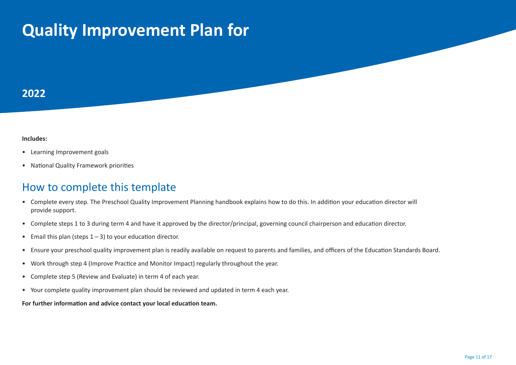# **Quality Improvement Plan for**

### **2022**

#### **Includes:**

- Learning Improvement goals
- National Quality Framework priorities

#### How to complete this template

- Complete every step. The Preschool Quality Improvement Planning handbook explains how to do this. In addition your education director will provide support.
- Complete steps 1 to 3 during term 4 and have it approved by the director/principal, governing council chairperson and education director.
- Email this plan (steps  $1 3$ ) to your education director.
- Ensure your preschool quality improvement plan is readily available on request to parents and families, and officers of the Education Standards Board.
- Work through step 4 (Improve Practice and Monitor Impact) regularly throughout the year.
- Complete step 5 (Review and Evaluate) in term 4 of each year.
- Your complete quality improvement plan should be reviewed and updated in term 4 each year.

**For further information and advice contact your local education team.**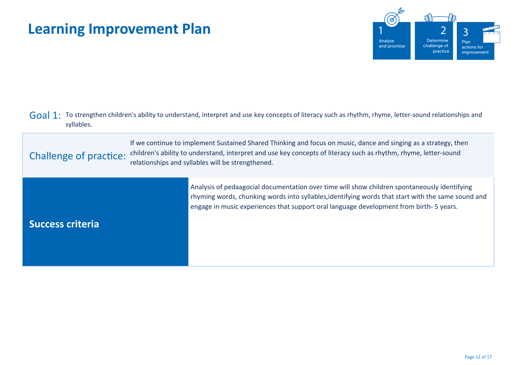

| Goal 1: To strengthen children's ability to understand, interpret and use key concepts of literacy such as rhythm, rhyme, letter-sound relationships and |
|----------------------------------------------------------------------------------------------------------------------------------------------------------|
| syllables.                                                                                                                                               |

Challenge of practice: If we continue to implement Sustained Shared Thinking and focus on music, dance and singing as a strategy, then children's ability to understand, interpret and use key concepts of literacy such as rhythm, rhyme, letter-sound relationships and syllables will be strengthened.

**Success criteria** Analysis of pedaagocial documentation over time will show children spontaneously identifying rhyming words, chunking words into syllables,identifying words that start with the same sound and engage in music experiences that support oral language development from birth- 5 years.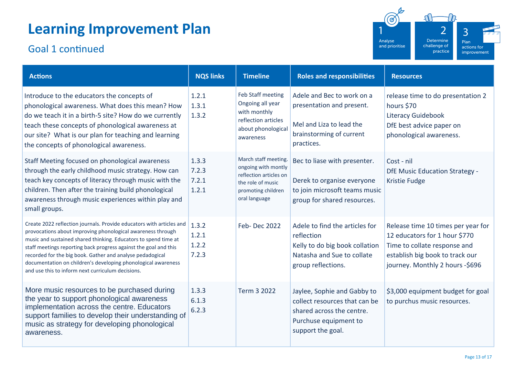## Goal 1 continued



| <b>Actions</b>                                                                                                                                                                                                                                                                                                                                                                                                                                                | <b>NQS links</b>                 | <b>Timeline</b>                                                                                                                   | <b>Roles and responsibilities</b>                                                                                                       | <b>Resources</b>                                                                                                                                                          |
|---------------------------------------------------------------------------------------------------------------------------------------------------------------------------------------------------------------------------------------------------------------------------------------------------------------------------------------------------------------------------------------------------------------------------------------------------------------|----------------------------------|-----------------------------------------------------------------------------------------------------------------------------------|-----------------------------------------------------------------------------------------------------------------------------------------|---------------------------------------------------------------------------------------------------------------------------------------------------------------------------|
| Introduce to the educators the concepts of<br>phonological awareness. What does this mean? How<br>do we teach it in a birth-5 site? How do we currently<br>teach these concepts of phonological awareness at<br>our site? What is our plan for teaching and learning<br>the concepts of phonological awareness.                                                                                                                                               | 1.2.1<br>1.3.1<br>1.3.2          | Feb Staff meeting<br>Ongoing all year<br>with monthly<br>reflection articles<br>about phonological<br>awareness                   | Adele and Bec to work on a<br>presentation and present.<br>Mel and Liza to lead the<br>brainstorming of current<br>practices.           | release time to do presentation 2<br>hours \$70<br><b>Literacy Guidebook</b><br>DfE best advice paper on<br>phonological awareness.                                       |
| Staff Meeting focused on phonological awareness<br>through the early childhood music strategy. How can<br>teach key concepts of literacy through music with the<br>children. Then after the training build phonological<br>awareness through music experiences within play and<br>small groups.                                                                                                                                                               | 1.3.3<br>7.2.3<br>7.2.1<br>1.2.1 | March staff meeting.<br>ongoing with montly<br>reflection articles on<br>the role of music<br>promoting children<br>oral language | Bec to liase with presenter.<br>Derek to organise everyone<br>to join microsoft teams music<br>group for shared resources.              | Cost - nil<br><b>DfE Music Education Strategy -</b><br><b>Kristie Fudge</b>                                                                                               |
| Create 2022 reflection journals. Provide educators with articles and<br>provocations about improving phonological awareness through<br>music and sustained shared thinking. Educators to spend time at<br>staff meetings reporting back progress against the goal and this<br>recorded for the big book. Gather and analyse pedadogical<br>documentation on children's developing phonological awareness<br>and use this to inform next curriculum decisions. | 1.3.2<br>1.2.1<br>1.2.2<br>7.2.3 | Feb-Dec 2022                                                                                                                      | Adele to find the articles for<br>reflection<br>Kelly to do big book collation<br>Natasha and Sue to collate<br>group reflections.      | Release time 10 times per year for<br>12 educators for 1 hour \$770<br>Time to collate response and<br>establish big book to track our<br>journey. Monthly 2 hours -\$696 |
| More music resources to be purchased during<br>the year to support phonological awareness<br>implementation across the centre. Educators<br>support families to develop their understanding of<br>music as strategy for developing phonological<br>awareness.                                                                                                                                                                                                 | 1.3.3<br>6.1.3<br>6.2.3          | Term 3 2022                                                                                                                       | Jaylee, Sophie and Gabby to<br>collect resources that can be<br>shared across the centre.<br>Purchuse equipment to<br>support the goal. | \$3,000 equipment budget for goal<br>to purchus music resources.                                                                                                          |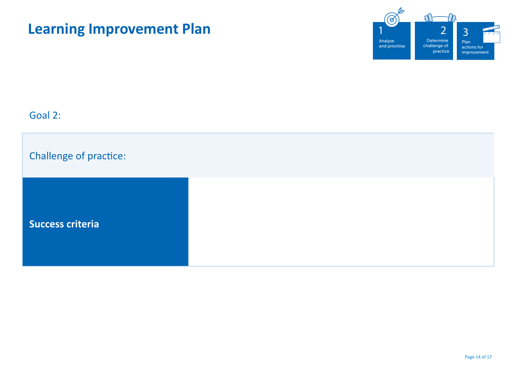

## Goal 2:

| Challenge of practice:  |  |  |
|-------------------------|--|--|
| <b>Success criteria</b> |  |  |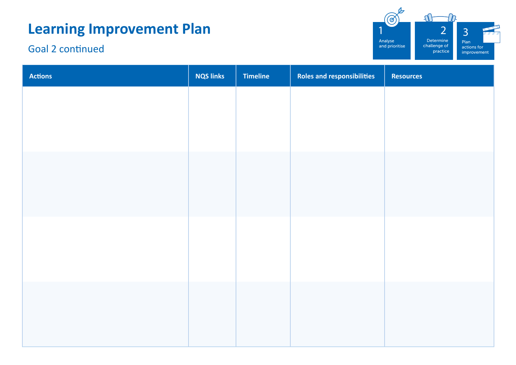## Goal 2 continued



| <b>Actions</b> | <b>NQS links</b> | Timeline | Roles and responsibilities | Resources |
|----------------|------------------|----------|----------------------------|-----------|
|                |                  |          |                            |           |
|                |                  |          |                            |           |
|                |                  |          |                            |           |
|                |                  |          |                            |           |
|                |                  |          |                            |           |
|                |                  |          |                            |           |
|                |                  |          |                            |           |
|                |                  |          |                            |           |
|                |                  |          |                            |           |
|                |                  |          |                            |           |
|                |                  |          |                            |           |
|                |                  |          |                            |           |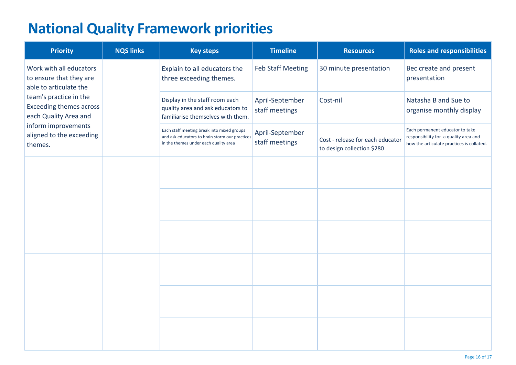## **National Quality Framework priorities**

| <b>Priority</b>                                                                   | <b>NQS links</b> | <b>Key steps</b>                                                                                                                      | <b>Timeline</b>                   | <b>Resources</b>                                               | <b>Roles and responsibilities</b>                                                                                     |
|-----------------------------------------------------------------------------------|------------------|---------------------------------------------------------------------------------------------------------------------------------------|-----------------------------------|----------------------------------------------------------------|-----------------------------------------------------------------------------------------------------------------------|
| Work with all educators<br>to ensure that they are<br>able to articulate the      |                  | Explain to all educators the<br>three exceeding themes.                                                                               | <b>Feb Staff Meeting</b>          | 30 minute presentation                                         | Bec create and present<br>presentation                                                                                |
| team's practice in the<br><b>Exceeding themes across</b><br>each Quality Area and |                  | Display in the staff room each<br>quality area and ask educators to<br>familiarise themselves with them.                              | April-September<br>staff meetings | Cost-nil                                                       | Natasha B and Sue to<br>organise monthly display                                                                      |
| inform improvements<br>aligned to the exceeding<br>themes.                        |                  | Each staff meeting break into mixed groups<br>and ask educators to brain storm our practices<br>in the themes under each quality area | April-September<br>staff meetings | Cost - release for each educator<br>to design collection \$280 | Each permanent educator to take<br>responsibility for a quality area and<br>how the articulate practices is collated. |
|                                                                                   |                  |                                                                                                                                       |                                   |                                                                |                                                                                                                       |
|                                                                                   |                  |                                                                                                                                       |                                   |                                                                |                                                                                                                       |
|                                                                                   |                  |                                                                                                                                       |                                   |                                                                |                                                                                                                       |
|                                                                                   |                  |                                                                                                                                       |                                   |                                                                |                                                                                                                       |
|                                                                                   |                  |                                                                                                                                       |                                   |                                                                |                                                                                                                       |
|                                                                                   |                  |                                                                                                                                       |                                   |                                                                |                                                                                                                       |